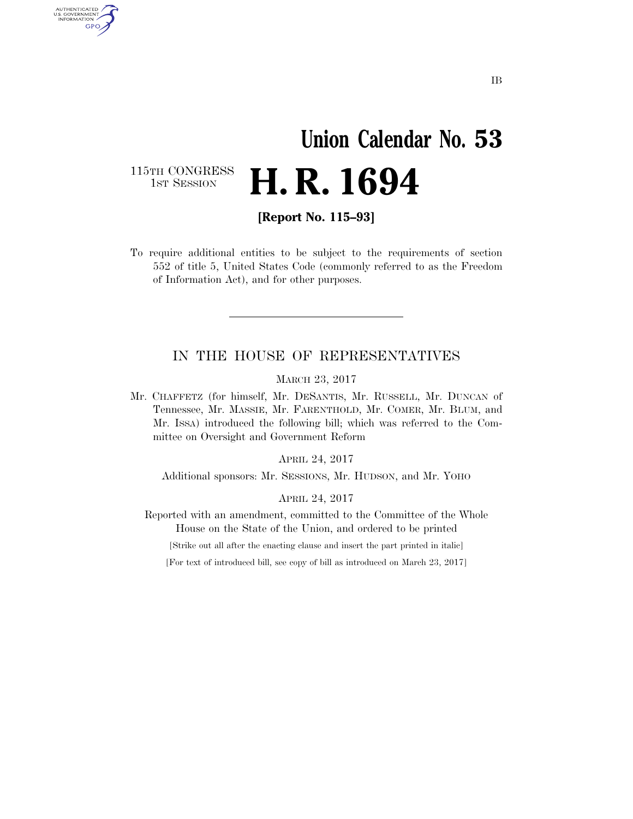# **Union Calendar No. 53 H. R. 1694**

115TH CONGRESS<br>1st Session

AUTHENTICATED<br>U.S. GOVERNMENT<br>INFORMATION GPO

**[Report No. 115–93]** 

To require additional entities to be subject to the requirements of section 552 of title 5, United States Code (commonly referred to as the Freedom of Information Act), and for other purposes.

### IN THE HOUSE OF REPRESENTATIVES

MARCH 23, 2017

Mr. CHAFFETZ (for himself, Mr. DESANTIS, Mr. RUSSELL, Mr. DUNCAN of Tennessee, Mr. MASSIE, Mr. FARENTHOLD, Mr. COMER, Mr. BLUM, and Mr. ISSA) introduced the following bill; which was referred to the Committee on Oversight and Government Reform

APRIL 24, 2017

Additional sponsors: Mr. SESSIONS, Mr. HUDSON, and Mr. YOHO

APRIL 24, 2017

Reported with an amendment, committed to the Committee of the Whole House on the State of the Union, and ordered to be printed

[Strike out all after the enacting clause and insert the part printed in italic]

[For text of introduced bill, see copy of bill as introduced on March 23, 2017]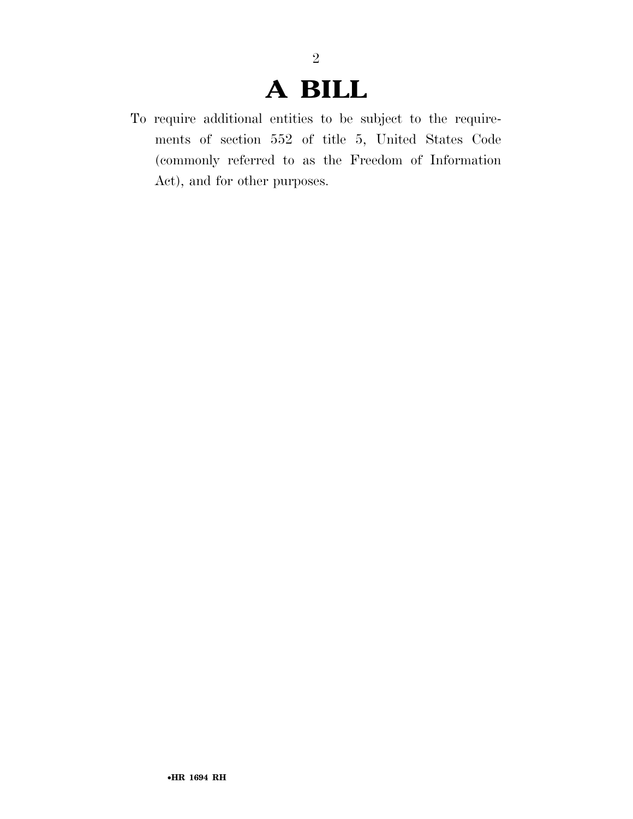## **A BILL**

2

To require additional entities to be subject to the requirements of section 552 of title 5, United States Code (commonly referred to as the Freedom of Information Act), and for other purposes.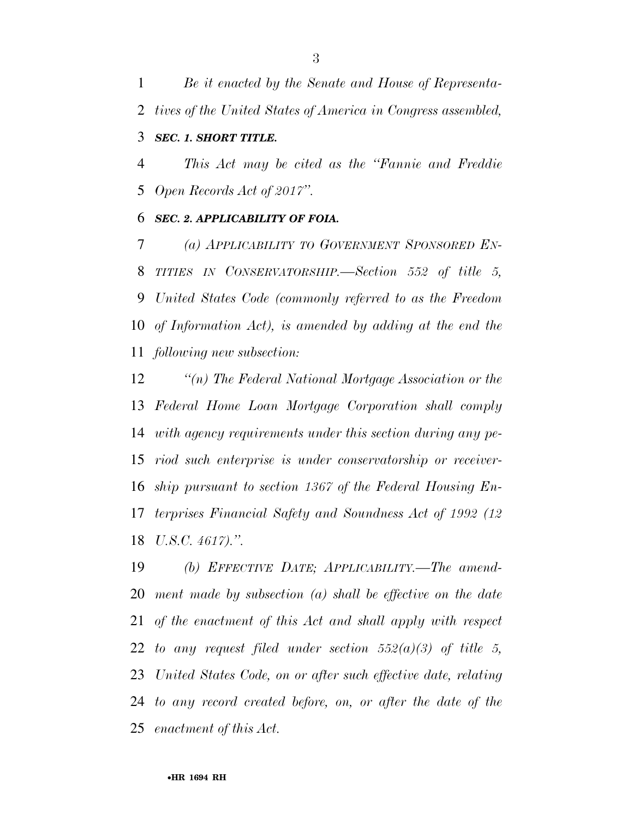*Be it enacted by the Senate and House of Representa-tives of the United States of America in Congress assembled,* 

### *SEC. 1. SHORT TITLE.*

 *This Act may be cited as the ''Fannie and Freddie Open Records Act of 2017''.* 

#### *SEC. 2. APPLICABILITY OF FOIA.*

 *(a) APPLICABILITY TO GOVERNMENT SPONSORED EN- TITIES IN CONSERVATORSHIP.—Section 552 of title 5, United States Code (commonly referred to as the Freedom of Information Act), is amended by adding at the end the following new subsection:* 

 *''(n) The Federal National Mortgage Association or the Federal Home Loan Mortgage Corporation shall comply with agency requirements under this section during any pe- riod such enterprise is under conservatorship or receiver- ship pursuant to section 1367 of the Federal Housing En- terprises Financial Safety and Soundness Act of 1992 (12 U.S.C. 4617).''.* 

 *(b) EFFECTIVE DATE; APPLICABILITY.—The amend- ment made by subsection (a) shall be effective on the date of the enactment of this Act and shall apply with respect to any request filed under section 552(a)(3) of title 5, United States Code, on or after such effective date, relating to any record created before, on, or after the date of the enactment of this Act.*